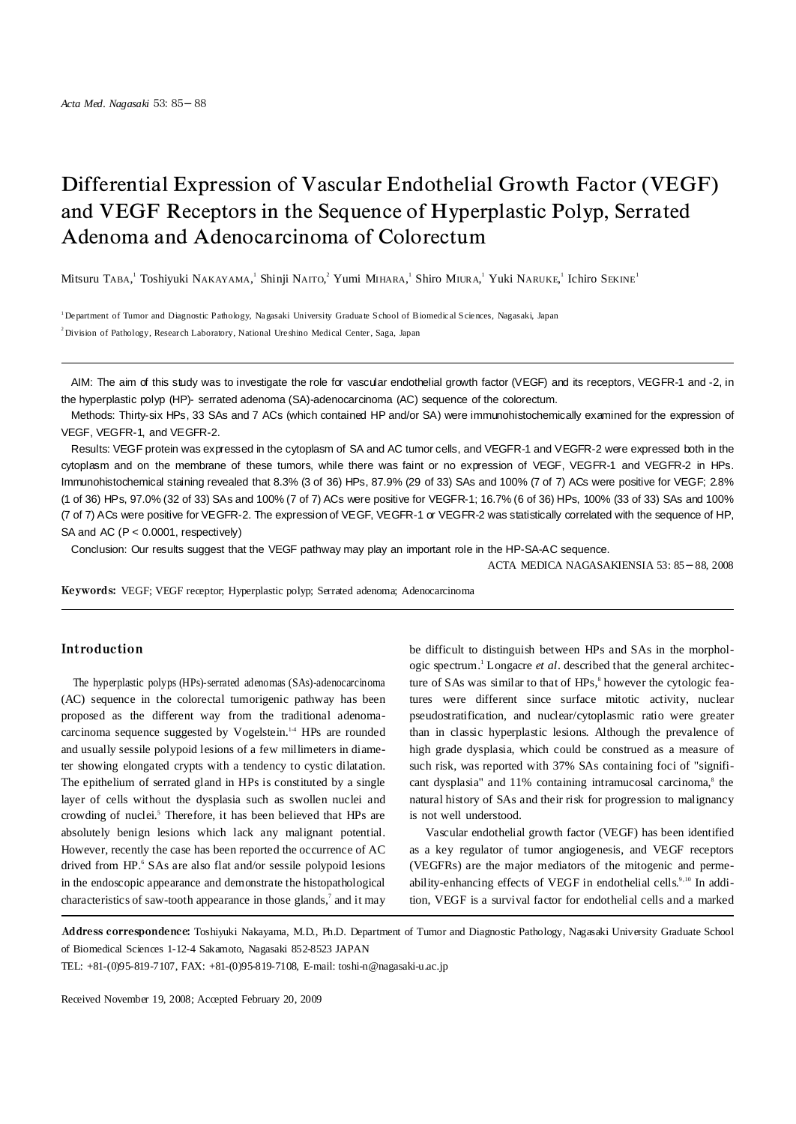# Differential Expression of Vascular Endothelial Growth Factor (VEGF) and VEGF Receptors in the Sequence of Hyperplastic Polyp, Serrated Adenoma and Adenocarcinoma of Colorectum

Mitsuru TABA, Toshiyuki NAKAYAMA, ' Shinji NAITO, $^2$  Yumi MIHARA, ' Shiro MIURA,' Yuki NARUKE,' Ichiro Sekine'

<sup>1</sup> Department of Tumor and Diagnostic Pathology, Nagasaki University Graduate School of Biomedic al Sciences, Nagasaki, Japan <sup>2</sup> Division of Pathology, Research Laboratory, National Ure shino Medical Center, Saga, Japan

AIM: The aim of this study was to investigate the role for vascular endothelial growth factor (VEGF) and its receptors, VEGFR-1 and -2, in the hyperplastic polyp (HP)- serrated adenoma (SA)-adenocarcinoma (AC) sequence of the colorectum.

Methods: Thirty-six HPs, 33 SAs and 7 ACs (which contained HP and/or SA) were immunohistochemically examined for the expression of VEGF, VEGFR-1, and VEGFR-2.

Results: VEGF protein was expressed in the cytoplasm of SA and AC tumor cells, and VEGFR-1 and VEGFR-2 were expressed both in the cytoplasm and on the membrane of these tumors, while there was faint or no expression of VEGF, VEGFR-1 and VEGFR-2 in HPs. Immunohistochemical staining revealed that 8.3% (3 of 36) HPs, 87.9% (29 of 33) SAs and 100% (7 of 7) ACs were positive for VEGF; 2.8% (1 of 36) HPs, 97.0% (32 of 33) SAs and 100% (7 of 7) ACs were positive for VEGFR-1; 16.7% (6 of 36) HPs, 100% (33 of 33) SAs and 100% (7 of 7) ACs were positive for VEGFR-2. The expression of VEGF, VEGFR-1 or VEGFR-2 was statistically correlated with the sequence of HP, SA and AC (P < 0.0001, respectively)

Conclusion: Our results suggest that the VEGF pathway may play an important role in the HP-SA-AC sequence.

ACTA MEDICA NAGASAKIENSIA 53: 85 88, 2008

Keywords: VEGF; VEGF receptor; Hyperplastic polyp; Serrated adenoma; Adenocarcinoma

# Introduction

The hyperplastic polyps (HPs)-serrated adenomas (SAs)-adenocarcinoma (AC) sequence in the colorectal tumorigenic pathway has been proposed as the different way from the traditional adenomacarcinoma sequence suggested by Vogelstein.<sup>14</sup> HPs are rounded and usually sessile polypoid lesions of a few millimeters in diameter showing elongated crypts with a tendency to cystic dilatation. The epithelium of serrated gland in HPs is constituted by a single layer of cells without the dysplasia such as swollen nuclei and crowding of nuclei. <sup>5</sup> Therefore, it has been believed that HPs are absolutely benign lesions which lack any malignant potential. However, recently the case has been reported the occurrence of AC drived from HP. <sup>6</sup> SAs are also flat and/or sessile polypoid lesions in the endoscopic appearance and demonstrate the histopathological characteristics of saw-tooth appearance in those glands,<sup>7</sup> and it may

be difficult to distinguish between HPs and SAs in the morphologic spectrum. <sup>1</sup> Longacre *et al*. described that the general architecture of SAs was similar to that of HPs, 8 however the cytologic features were different since surface mitotic activity, nuclear pseudostratification, and nuclear/cytoplasmic ratio were greater than in classic hyperplastic lesions. Although the prevalence of high grade dysplasia, which could be construed as a measure of such risk, was reported with 37% SAs containing foci of "significant dysplasia" and 11% containing intramucosal carcinoma, 8 the natural history of SAs and their risk for progression to malignancy is not well understood.

Vascular endothelial growth factor (VEGF) has been identified as a key regulator of tumor angiogenesis, and VEGF receptors (VEGFRs) are the major mediators of the mitogenic and permeability-enhancing effects of VEGF in endothelial cells.<sup>9,10</sup> In addition, VEGF is a survival factor for endothelial cells and a marked

Address correspondence: Toshiyuki Nakayama, M.D., Ph.D. Department of Tumor and Diagnostic Pathology, Nagasaki University Graduate School of Biomedical Sciences 1-12-4 Sakamoto, Nagasaki 852-8523 JAPAN

TEL: +81-(0)95-819-7107, FAX: +81-(0)95-819-7108, E-mail: toshi-n@nagasaki-u.ac.jp

Received November 19, 2008; Accepted February 20, 2009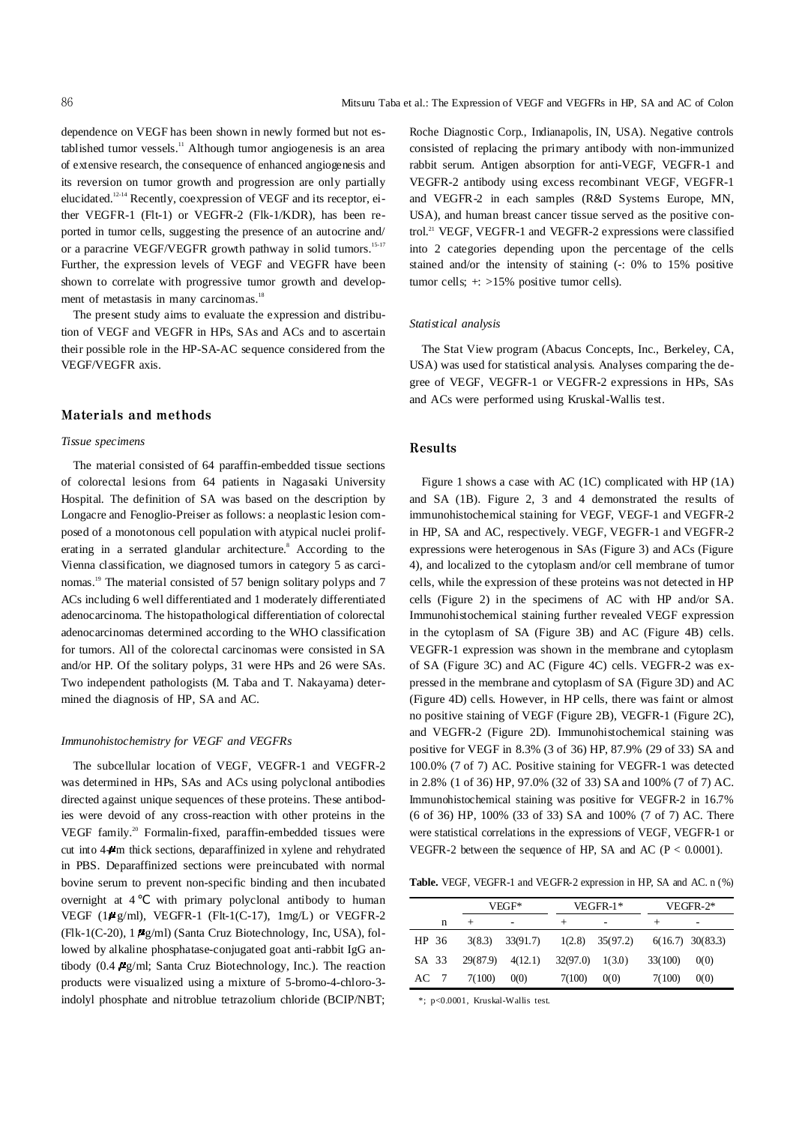dependence on VEGF has been shown in newly formed but not established tumor vessels.<sup>11</sup> Although tumor angiogenesis is an area of extensive research, the consequence of enhanced angiogenesis and its reversion on tumor growth and progression are only partially elucidated. 12-14 Recently, coexpression of VEGF and its receptor, either VEGFR-1 (Flt-1) or VEGFR-2 (Flk-1/KDR), has been reported in tumor cells, suggesting the presence of an autocrine and/ or a paracrine VEGF/VEGFR growth pathway in solid tumors.<sup>15-17</sup> Further, the expression levels of VEGF and VEGFR have been shown to correlate with progressive tumor growth and development of metastasis in many carcinomas.<sup>18</sup>

The present study aims to evaluate the expression and distribution of VEGF and VEGFR in HPs, SAs and ACs and to ascertain their possible role in the HP-SA-AC sequence considered from the VEGF/VEGFR axis.

## Materials and methods

#### *Tissue specimens*

The material consisted of 64 paraffin-embedded tissue sections of colorectal lesions from 64 patients in Nagasaki University Hospital. The definition of SA was based on the description by Longacre and Fenoglio-Preiser as follows: a neoplastic lesion composed of a monotonous cell population with atypical nuclei proliferating in a serrated glandular architecture. <sup>8</sup> According to the Vienna classification, we diagnosed tumors in category 5 as carcinomas. <sup>19</sup> The material consisted of 57 benign solitary polyps and 7 ACs including 6 well differentiated and 1 moderately differentiated adenocarcinoma. The histopathological differentiation of colorectal adenocarcinomas determined according to the WHO classification for tumors. All of the colorectal carcinomas were consisted in SA and/or HP. Of the solitary polyps, 31 were HPs and 26 were SAs. Two independent pathologists (M. Taba and T. Nakayama) determined the diagnosis of HP, SA and AC.

#### *Immunohistochemistry for VEGF and VEGFRs*

The subcellular location of VEGF, VEGFR-1 and VEGFR-2 was determined in HPs, SAs and ACs using polyclonal antibodies directed against unique sequences of these proteins. These antibodies were devoid of any cross-reaction with other proteins in the VEGF family. <sup>20</sup> Formalin-fixed, paraffin-embedded tissues were cut into 44 m thick sections, deparaffinized in xylene and rehydrated in PBS. Deparaffinized sections were preincubated with normal bovine serum to prevent non-specific binding and then incubated overnight at 4 with primary polyclonal antibody to human VEGF (1 $\mu$ g/ml), VEGFR-1 (Flt-1(C-17), 1mg/L) or VEGFR-2  $(Flk-1(C-20), 1 \mu g/ml)$  (Santa Cruz Biotechnology, Inc, USA), followed by alkaline phosphatase-conjugated goat anti-rabbit IgG antibody  $(0.4 \, \text{kg/ml};$  Santa Cruz Biotechnology, Inc.). The reaction products were visualized using a mixture of 5-bromo-4-chloro-3 indolyl phosphate and nitroblue tetrazolium chloride (BCIP/NBT;

Roche Diagnostic Corp., Indianapolis, IN, USA). Negative controls consisted of replacing the primary antibody with non-immunized rabbit serum. Antigen absorption for anti-VEGF, VEGFR-1 and VEGFR-2 antibody using excess recombinant VEGF, VEGFR-1 and VEGFR-2 in each samples (R&D Systems Europe, MN, USA), and human breast cancer tissue served as the positive control. <sup>21</sup> VEGF, VEGFR-1 and VEGFR-2 expressions were classified into 2 categories depending upon the percentage of the cells stained and/or the intensity of staining (-: 0% to 15% positive tumor cells; +: >15% positive tumor cells).

#### *Statistical analysis*

The Stat View program (Abacus Concepts, Inc., Berkeley, CA, USA) was used for statistical analysis. Analyses comparing the degree of VEGF, VEGFR-1 or VEGFR-2 expressions in HPs, SAs and ACs were performed using Kruskal-Wallis test.

### Results

Figure 1 shows a case with AC (1C) complicated with HP (1A) and SA (1B). Figure 2, 3 and 4 demonstrated the results of immunohistochemical staining for VEGF, VEGF-1 and VEGFR-2 in HP, SA and AC, respectively. VEGF, VEGFR-1 and VEGFR-2 expressions were heterogenous in SAs (Figure 3) and ACs (Figure 4), and localized to the cytoplasm and/or cell membrane of tumor cells, while the expression of these proteins was not detected in HP cells (Figure 2) in the specimens of AC with HP and/or SA. Immunohistochemical staining further revealed VEGF expression in the cytoplasm of SA (Figure 3B) and AC (Figure 4B) cells. VEGFR-1 expression was shown in the membrane and cytoplasm of SA (Figure 3C) and AC (Figure 4C) cells. VEGFR-2 was expressed in the membrane and cytoplasm of SA (Figure 3D) and AC (Figure 4D) cells. However, in HP cells, there was faint or almost no positive staining of VEGF (Figure 2B), VEGFR-1 (Figure 2C), and VEGFR-2 (Figure 2D). Immunohistochemical staining was positive for VEGF in 8.3% (3 of 36) HP, 87.9% (29 of 33) SA and 100.0% (7 of 7) AC. Positive staining for VEGFR-1 was detected in 2.8% (1 of 36) HP, 97.0% (32 of 33) SA and 100% (7 of 7) AC. Immunohistochemical staining was positive for VEGFR-2 in 16.7% (6 of 36) HP, 100% (33 of 33) SA and 100% (7 of 7) AC. There were statistical correlations in the expressions of VEGF, VEGFR-1 or VEGFR-2 between the sequence of HP, SA and AC ( $P < 0.0001$ ).

**Table.** VEGF, VEGFR-1 and VEGFR-2 expression in HP, SA and AC. n (%)

|       | VEGF*  |                      | VEGFR-1*          |                     | VEGFR-2* |                    |
|-------|--------|----------------------|-------------------|---------------------|----------|--------------------|
| n     | $^{+}$ | ٠                    |                   | ۰                   |          | ۰                  |
| HP 36 |        | $3(8.3)$ $33(91.7)$  |                   | $1(2.8)$ $35(97.2)$ |          | $6(16.7)$ 30(83.3) |
| SA 33 |        | $29(87.9)$ $4(12.1)$ | $32(97.0)$ 1(3.0) |                     | 33(100)  | 0(0)               |
| AC 7  | 7(100) | 0(0)                 | 7(100)            | 0(0)                | 7(100)   | 0(0)               |

\*; p<0.0001, Kruskal-Wallis test.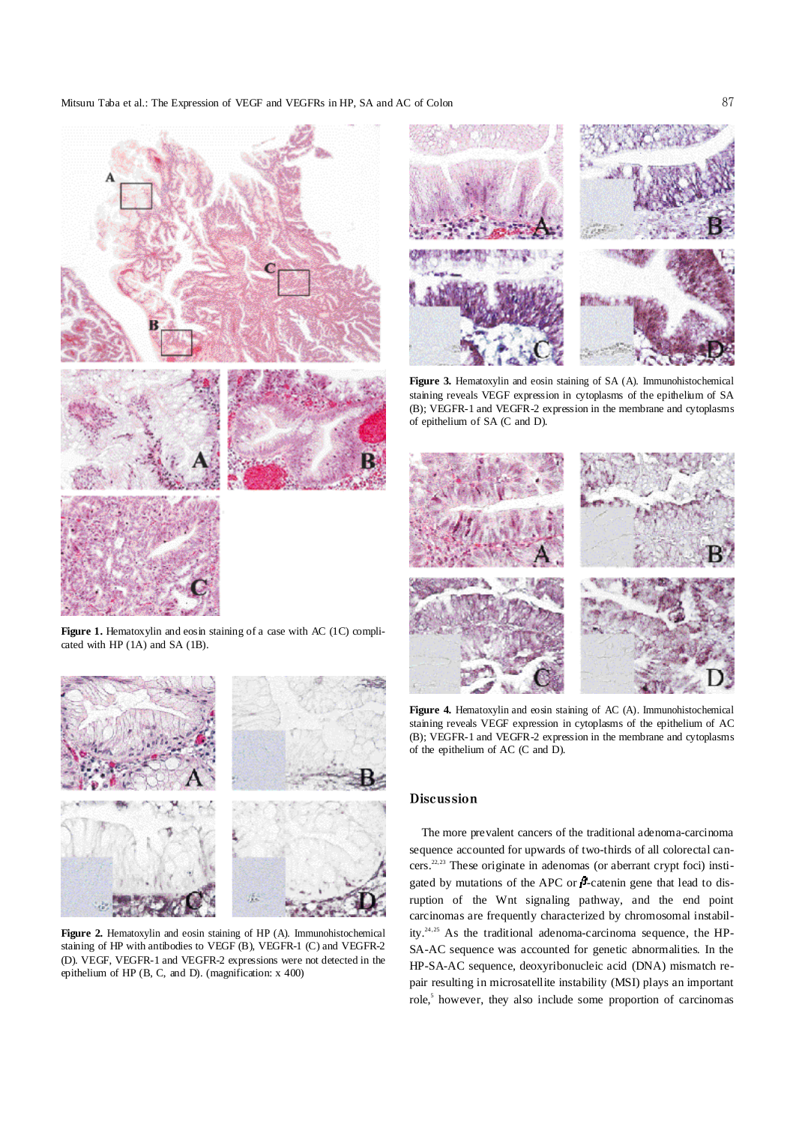#### Mitsuru Taba et al.: The Expression of VEGF and VEGFRs in HP, SA and AC of Colon



Figure 1. Hematoxylin and eosin staining of a case with AC (1C) complicated with HP (1A) and SA (1B).



**Figure 2.** Hematoxylin and eosin staining of HP (A). Immunohistochemical staining of HP with antibodies to VEGF (B), VEGFR-1 (C) and VEGFR-2 (D). VEGF, VEGFR-1 and VEGFR-2 expressions were not detected in the epithelium of HP (B, C, and D). (magnification: x 400)



**Figure 3.** Hematoxylin and eosin staining of SA (A). Immunohistochemical staining reveals VEGF expression in cytoplasms of the epithelium of SA (B); VEGFR-1 and VEGFR-2 expression in the membrane and cytoplasms of epithelium of SA (C and D).



Figure 4. Hematoxylin and eosin staining of AC (A). Immunohistochemical staining reveals VEGF expression in cytoplasms of the epithelium of AC (B); VEGFR-1 and VEGFR-2 expression in the membrane and cytoplasms of the epithelium of AC (C and D).

## Discussion

The more prevalent cancers of the traditional adenoma-carcinoma sequence accounted for upwards of two-thirds of all colorectal cancers. 22,23 These originate in adenomas (or aberrant crypt foci) instigated by mutations of the APC or  $\beta$ -catenin gene that lead to disruption of the Wnt signaling pathway, and the end point carcinomas are frequently characterized by chromosomal instability.<sup>24,25</sup> As the traditional adenoma-carcinoma sequence, the HP-SA-AC sequence was accounted for genetic abnormalities. In the HP-SA-AC sequence, deoxyribonucleic acid (DNA) mismatch repair resulting in microsatellite instability (MSI) plays an important role, 5 however, they also include some proportion of carcinomas